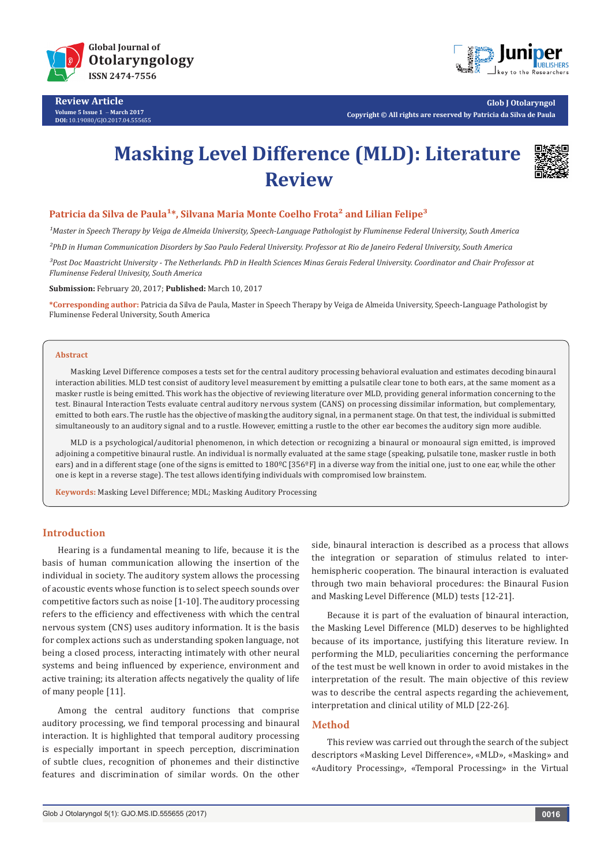

**Review Article Volume 5 Issue 1** - **March 2017 DOI:** [10.19080/GJO.2017.04.555655](http://dx.doi.org/10.19080/GJO.2017.04.555655)



**Glob J Otolaryngol Copyright © All rights are reserved by Patricia da Silva de Paula**

# **Masking Level Difference (MLD): Literature Review**



# Patricia da Silva de Paula<sup>1</sup>\*, Silvana Maria Monte Coelho Frota<sup>2</sup> and Lilian Felipe<sup>3</sup>

*¹Master in Speech Therapy by Veiga de Almeida University, Speech-Language Pathologist by Fluminense Federal University, South America*

*²PhD in Human Communication Disorders by Sao Paulo Federal University. Professor at Rio de Janeiro Federal University, South America*

*³Post Doc Maastricht University - The Netherlands. PhD in Health Sciences Minas Gerais Federal University. Coordinator and Chair Professor at Fluminense Federal Univesity, South America*

**Submission:** February 20, 2017; **Published:** March 10, 2017

**\*Corresponding author:** Patricia da Silva de Paula, Master in Speech Therapy by Veiga de Almeida University, Speech-Language Pathologist by Fluminense Federal University, South America

#### **Abstract**

Masking Level Difference composes a tests set for the central auditory processing behavioral evaluation and estimates decoding binaural interaction abilities. MLD test consist of auditory level measurement by emitting a pulsatile clear tone to both ears, at the same moment as a masker rustle is being emitted. This work has the objective of reviewing literature over MLD, providing general information concerning to the test. Binaural Interaction Tests evaluate central auditory nervous system (CANS) on processing dissimilar information, but complementary, emitted to both ears. The rustle has the objective of masking the auditory signal, in a permanent stage. On that test, the individual is submitted simultaneously to an auditory signal and to a rustle. However, emitting a rustle to the other ear becomes the auditory sign more audible.

MLD is a psychological/auditorial phenomenon, in which detection or recognizing a binaural or monoaural sign emitted, is improved adjoining a competitive binaural rustle. An individual is normally evaluated at the same stage (speaking, pulsatile tone, masker rustle in both ears) and in a different stage (one of the signs is emitted to 180°C [356°F] in a diverse way from the initial one, just to one ear, while the other one is kept in a reverse stage). The test allows identifying individuals with compromised low brainstem.

**Keywords:** Masking Level Difference; MDL; Masking Auditory Processing

# **Introduction**

Hearing is a fundamental meaning to life, because it is the basis of human communication allowing the insertion of the individual in society. The auditory system allows the processing of acoustic events whose function is to select speech sounds over competitive factors such as noise [1-10]. The auditory processing refers to the efficiency and effectiveness with which the central nervous system (CNS) uses auditory information. It is the basis for complex actions such as understanding spoken language, not being a closed process, interacting intimately with other neural systems and being influenced by experience, environment and active training; its alteration affects negatively the quality of life of many people [11].

Among the central auditory functions that comprise auditory processing, we find temporal processing and binaural interaction. It is highlighted that temporal auditory processing is especially important in speech perception, discrimination of subtle clues, recognition of phonemes and their distinctive features and discrimination of similar words. On the other

side, binaural interaction is described as a process that allows the integration or separation of stimulus related to interhemispheric cooperation. The binaural interaction is evaluated through two main behavioral procedures: the Binaural Fusion and Masking Level Difference (MLD) tests [12-21].

Because it is part of the evaluation of binaural interaction, the Masking Level Difference (MLD) deserves to be highlighted because of its importance, justifying this literature review. In performing the MLD, peculiarities concerning the performance of the test must be well known in order to avoid mistakes in the interpretation of the result. The main objective of this review was to describe the central aspects regarding the achievement, interpretation and clinical utility of MLD [22-26].

### **Method**

This review was carried out through the search of the subject descriptors «Masking Level Difference», «MLD», «Masking» and «Auditory Processing», «Temporal Processing» in the Virtual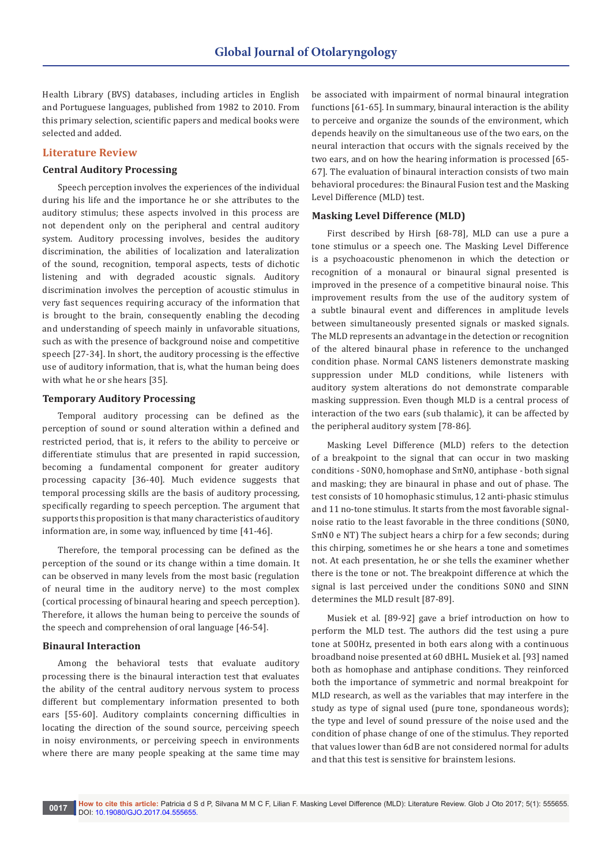Health Library (BVS) databases, including articles in English and Portuguese languages, published from 1982 to 2010. From this primary selection, scientific papers and medical books were selected and added.

## **Literature Review**

## **Central Auditory Processing**

Speech perception involves the experiences of the individual during his life and the importance he or she attributes to the auditory stimulus; these aspects involved in this process are not dependent only on the peripheral and central auditory system. Auditory processing involves, besides the auditory discrimination, the abilities of localization and lateralization of the sound, recognition, temporal aspects, tests of dichotic listening and with degraded acoustic signals. Auditory discrimination involves the perception of acoustic stimulus in very fast sequences requiring accuracy of the information that is brought to the brain, consequently enabling the decoding and understanding of speech mainly in unfavorable situations, such as with the presence of background noise and competitive speech [27-34]. In short, the auditory processing is the effective use of auditory information, that is, what the human being does with what he or she hears [35].

### **Temporary Auditory Processing**

Temporal auditory processing can be defined as the perception of sound or sound alteration within a defined and restricted period, that is, it refers to the ability to perceive or differentiate stimulus that are presented in rapid succession, becoming a fundamental component for greater auditory processing capacity [36-40]. Much evidence suggests that temporal processing skills are the basis of auditory processing, specifically regarding to speech perception. The argument that supports this proposition is that many characteristics of auditory information are, in some way, influenced by time [41-46].

Therefore, the temporal processing can be defined as the perception of the sound or its change within a time domain. It can be observed in many levels from the most basic (regulation of neural time in the auditory nerve) to the most complex (cortical processing of binaural hearing and speech perception). Therefore, it allows the human being to perceive the sounds of the speech and comprehension of oral language [46-54].

#### **Binaural Interaction**

Among the behavioral tests that evaluate auditory processing there is the binaural interaction test that evaluates the ability of the central auditory nervous system to process different but complementary information presented to both ears [55-60]. Auditory complaints concerning difficulties in locating the direction of the sound source, perceiving speech in noisy environments, or perceiving speech in environments where there are many people speaking at the same time may

be associated with impairment of normal binaural integration functions [61-65]. In summary, binaural interaction is the ability to perceive and organize the sounds of the environment, which depends heavily on the simultaneous use of the two ears, on the neural interaction that occurs with the signals received by the two ears, and on how the hearing information is processed [65- 67]. The evaluation of binaural interaction consists of two main behavioral procedures: the Binaural Fusion test and the Masking Level Difference (MLD) test.

## **Masking Level Difference (MLD)**

First described by Hirsh [68-78], MLD can use a pure a tone stimulus or a speech one. The Masking Level Difference is a psychoacoustic phenomenon in which the detection or recognition of a monaural or binaural signal presented is improved in the presence of a competitive binaural noise. This improvement results from the use of the auditory system of a subtle binaural event and differences in amplitude levels between simultaneously presented signals or masked signals. The MLD represents an advantage in the detection or recognition of the altered binaural phase in reference to the unchanged condition phase. Normal CANS listeners demonstrate masking suppression under MLD conditions, while listeners with auditory system alterations do not demonstrate comparable masking suppression. Even though MLD is a central process of interaction of the two ears (sub thalamic), it can be affected by the peripheral auditory system [78-86].

Masking Level Difference (MLD) refers to the detection of a breakpoint to the signal that can occur in two masking conditions - S0N0, homophase and  $S\pi N0$ , antiphase - both signal and masking; they are binaural in phase and out of phase. The test consists of 10 homophasic stimulus, 12 anti-phasic stimulus and 11 no-tone stimulus. It starts from the most favorable signalnoise ratio to the least favorable in the three conditions (S0N0, S $\pi$ N0 e NT) The subject hears a chirp for a few seconds; during this chirping, sometimes he or she hears a tone and sometimes not. At each presentation, he or she tells the examiner whether there is the tone or not. The breakpoint difference at which the signal is last perceived under the conditions S0N0 and SINN determines the MLD result [87-89].

Musiek et al. [89-92] gave a brief introduction on how to perform the MLD test. The authors did the test using a pure tone at 500Hz, presented in both ears along with a continuous broadband noise presented at 60 dBHL. Musiek et al. [93] named both as homophase and antiphase conditions. They reinforced both the importance of symmetric and normal breakpoint for MLD research, as well as the variables that may interfere in the study as type of signal used (pure tone, spondaneous words); the type and level of sound pressure of the noise used and the condition of phase change of one of the stimulus. They reported that values lower than 6dB are not considered normal for adults and that this test is sensitive for brainstem lesions.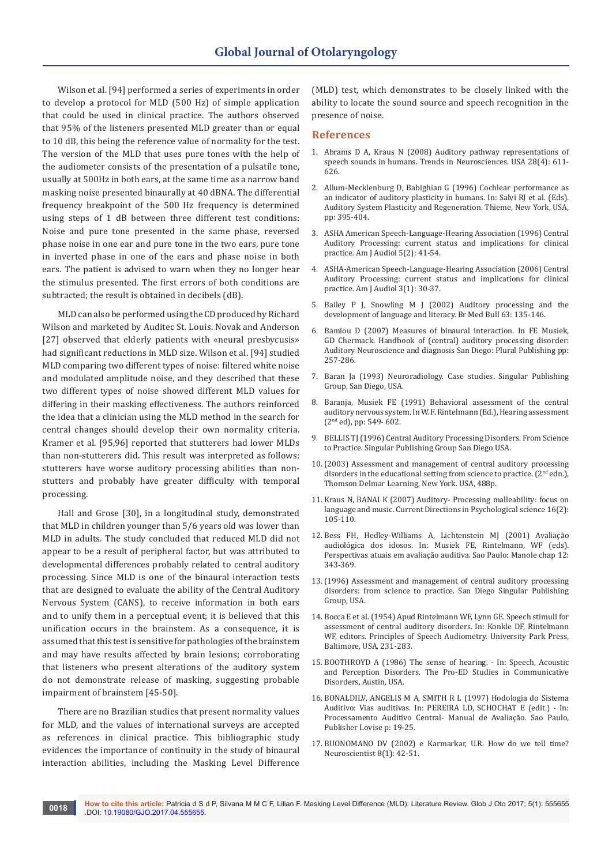Wilson et al. [94] performed a series of experiments in order to develop a protocol for MLD (500 Hz) of simple application that could be used in clinical practice. The authors observed that 95% of the listeners presented MLD greater than or equal to 10 dB, this being the reference value of normality for the test. The version of the MLD that uses pure tones with the help of the audiometer consists of the presentation of a pulsatile tone, usually at 500Hz in both ears, at the same time as a narrow band masking noise presented binaurally at 40 dBNA. The differential frequency breakpoint of the 500 Hz frequency is determined using steps of 1 dB between three different test conditions: Noise and pure tone presented in the same phase, reversed phase noise in one ear and pure tone in the two ears, pure tone in inverted phase in one of the ears and phase noise in both ears. The patient is advised to warn when they no longer hear the stimulus presented. The first errors of both conditions are subtracted; the result is obtained in decibels (dB).

MLD can also be performed using the CD produced by Richard Wilson and marketed by Auditec St. Louis. Novak and Anderson [27] observed that elderly patients with «neural presbycusis» had significant reductions in MLD size. Wilson et al. [94] studied MLD comparing two different types of noise: filtered white noise and modulated amplitude noise, and they described that these two different types of noise showed different MLD values for differing in their masking effectiveness. The authors reinforced the idea that a clinician using the MLD method in the search for central changes should develop their own normality criteria. Kramer et al. [95,96] reported that stutterers had lower MLDs than non-stutterers did. This result was interpreted as follows: stutterers have worse auditory processing abilities than nonstutters and probably have greater difficulty with temporal processing.

Hall and Grose [30], in a longitudinal study, demonstrated that MLD in children younger than 5/6 years old was lower than MLD in adults. The study concluded that reduced MLD did not appear to be a result of peripheral factor, but was attributed to developmental differences probably related to central auditory processing. Since MLD is one of the binaural interaction tests that are designed to evaluate the ability of the Central Auditory Nervous System (CANS), to receive information in both ears and to unify them in a perceptual event; it is believed that this unification occurs in the brainstem. As a consequence, it is assumed that this test is sensitive for pathologies of the brainstem and may have results affected by brain lesions; corroborating that listeners who present alterations of the auditory system do not demonstrate release of masking, suggesting probable impairment of brainstem [45-50].

There are no Brazilian studies that present normality values for MLD, and the values of international surveys are accepted as references in clinical practice. This bibliographic study evidences the importance of continuity in the study of binaural interaction abilities, including the Masking Level Difference

(MLD) test, which demonstrates to be closely linked with the ability to locate the sound source and speech recognition in the presence of noise.

#### **References**

- 1. [Abrams D A, Kraus N \(2008\) Auditory pathway representations of](http://www.brainvolts.northwestern.edu/documents/Abrams_Kraus_2008_Katz_Chapter_FINAL_AllReviews.pdf)  [speech sounds in humans. Trends in Neurosciences. USA 28\(4\): 611-](http://www.brainvolts.northwestern.edu/documents/Abrams_Kraus_2008_Katz_Chapter_FINAL_AllReviews.pdf) [626.](http://www.brainvolts.northwestern.edu/documents/Abrams_Kraus_2008_Katz_Chapter_FINAL_AllReviews.pdf)
- 2. Allum-Mecklenburg D, Babighian G (1996) Cochlear performance as an indicator of auditory plasticity in humans. In: Salvi RJ et al. (Eds). Auditory System Plasticity and Regeneration. Thieme, New York, USA, pp: 395-404.
- 3. [ASHA American Speech-Language-Hearing Association \(1996\) Central](http://aja.pubs.asha.org/article.aspx?articleid=1773685)  [Auditory Processing: current status and implications for clinical](http://aja.pubs.asha.org/article.aspx?articleid=1773685)  [practice. Am J Audiol 5\(2\): 41-54.](http://aja.pubs.asha.org/article.aspx?articleid=1773685)
- 4. ASHA-American Speech-Language-Hearing Association (2006) Central Auditory Processing: current status and implications for clinical practice. Am J Audiol 3(1): 30-37.
- 5. [Bailey P J, Snowling M J \(2002\) Auditory processing and the](https://www.ncbi.nlm.nih.gov/pubmed/12324389)  [development of language and literacy. Br Med Bull 63: 135-146.](https://www.ncbi.nlm.nih.gov/pubmed/12324389)
- 6. Bamiou D (2007) Measures of binaural interaction. In FE Musiek, GD Chermack. Handbook of (central) auditory processing disorder: Auditory Neuroscience and diagnosis San Diego: Plural Publishing pp: 257-286.
- 7. Baran Ja (1993) Neuroradiology. Case studies. Singular Publishing Group, San Diego, USA.
- 8. Baranja, Musiek FE (1991) Behavioral assessment of the central auditory nervous system. In W. F. Rintelmann (Ed.), Hearing assessment (2nd ed), pp: 549- 602.
- 9. BELLIS TJ (1996) Central Auditory Processing Disorders. From Science to Practice. Singular Publishing Group San Diego USA.
- 10.(2003) Assessment and management of central auditory processing disorders in the educational setting from science to practice. (2<sup>nd</sup> edn.), Thomson Delmar Learning, New York. USA, 488p.
- 11. [Kraus N, BANAI K \(2007\) Auditory- Processing malleability: focus on](http://brainvolts.northwestern.edu/documents/KrausBanai2007_CDir.pdf)  [language and music. Current Directions in Psychological science 16\(2\):](http://brainvolts.northwestern.edu/documents/KrausBanai2007_CDir.pdf)  [105-110.](http://brainvolts.northwestern.edu/documents/KrausBanai2007_CDir.pdf)
- 12. Bess FH, Hedley-Williams A, Lichtenstein MJ (2001) Avaliação audiológica dos idosos. In: Musiek FE, Rintelmann, WF (eds). Perspectivas atuais em avaliação auditiva. Sao Paulo: Manole chap 12: 343-369.
- 13.(1996) Assessment and management of central auditory processing disorders: from science to practice. San Diego Singular Publishing Group, USA.
- 14. Bocca E et al. (1954) Apud Rintelmann WF, Lynn GE. Speech stimuli for assessment of central auditory disorders. In: Konkle DF, Rintelmann WF, editors. Principles of Speech Audiometry. University Park Press, Baltimore, USA, 231-283.
- 15. BOOTHROYD A (1986) The sense of hearing. In: Speech, Acoustic and Perception Disorders. The Pro-ED Studies in Communicative Disorders, Austin, USA.
- 16. BONALDILV, ANGELIS M A, SMITH R L (1997) Hodologia do Sistema Auditivo: Vias auditivas. In: PEREIRA LD, SCHOCHAT E (edit.) - In: Processamento Auditivo Central- Manual de Avaliação. Sao Paulo, Publisher Lovise p: 19-25.
- 17. BUONOMANO DV (2002) e Karmarkar, U.R. How do we tell time? Neuroscientist 8(1): 42-51.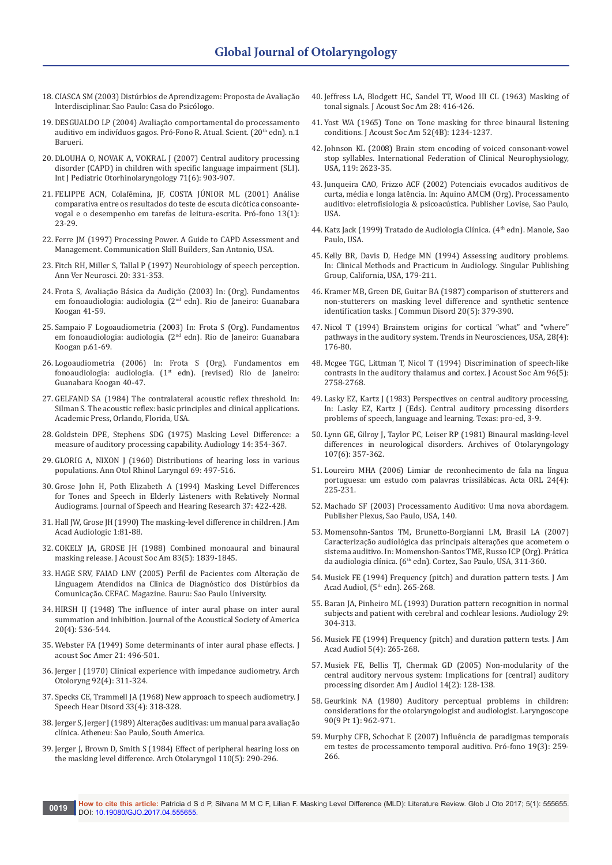- 18. CIASCA SM (2003) Distúrbios de Aprendizagem: Proposta de Avaliação Interdisciplinar. Sao Paulo: Casa do Psicólogo.
- 19. DESGUALDO LP (2004) Avaliação comportamental do processamento auditivo em indivíduos gagos. Pró-Fono R. Atual. Scient. (20<sup>th</sup> edn). n.1 Barueri.
- 20. [DLOUHA O, NOVAK A, VOKRAL J \(2007\) Central auditory processing](https://www.ncbi.nlm.nih.gov/pubmed/17382411)  [disorder \(CAPD\) in children with specific language impairment \(SLI\).](https://www.ncbi.nlm.nih.gov/pubmed/17382411)  [Int J Pediatric Otorhinolaryngology 71\(6\): 903-907.](https://www.ncbi.nlm.nih.gov/pubmed/17382411)
- 21. [FELIPPE ACN, Colafêmina, JF, COSTA JÚNIOR ML \(2001\) Análise](http://bases.bireme.br/cgi-bin/wxislind.exe/iah/online/?IsisScript=iah/iah.xis&src=google&base=ADOLEC&lang=p&nextAction=lnk&exprSearch=362978&indexSearch=ID)  [comparativa entre os resultados do teste de escuta dicótica consoante](http://bases.bireme.br/cgi-bin/wxislind.exe/iah/online/?IsisScript=iah/iah.xis&src=google&base=ADOLEC&lang=p&nextAction=lnk&exprSearch=362978&indexSearch=ID)[vogal e o desempenho em tarefas de leitura-escrita. Pró-fono 13\(1\):](http://bases.bireme.br/cgi-bin/wxislind.exe/iah/online/?IsisScript=iah/iah.xis&src=google&base=ADOLEC&lang=p&nextAction=lnk&exprSearch=362978&indexSearch=ID)  [23-29.](http://bases.bireme.br/cgi-bin/wxislind.exe/iah/online/?IsisScript=iah/iah.xis&src=google&base=ADOLEC&lang=p&nextAction=lnk&exprSearch=362978&indexSearch=ID)
- 22. Ferre JM (1997) Processing Power. A Guide to CAPD Assessment and Management. Communication Skill Builders, San Antonio, USA.
- 23. Fitch RH, Miller S, Tallal P (1997) Neurobiology of speech perception. Ann Ver Neurosci. 20: 331-353.
- 24. Frota S, Avaliação Básica da Audição (2003) In: (Org). Fundamentos em fonoaudiologia: audiologia. (2nd edn). Rio de Janeiro: Guanabara Koogan 41-59.
- 25. Sampaio F Logoaudiometria (2003) In: Frota S (Org). Fundamentos em fonoaudiologia: audiologia. (2<sup>nd</sup> edn). Rio de Janeiro: Guanabara Koogan p.61-69.
- 26. Logoaudiometria (2006) In: Frota S (Org). Fundamentos em fonoaudiologia: audiologia. (1<sup>st</sup> edn). (revised) Rio de Janeiro: Guanabara Koogan 40-47.
- 27. GELFAND SA (1984) The contralateral acoustic reflex threshold. In: Silman S. The acoustic reflex: basic principles and clinical applications. Academic Press, Orlando, Florida, USA.
- 28. Goldstein DPE, Stephens SDG (1975) Masking Level Difference: a measure of auditory processing capability. Audiology 14: 354-367.
- 29. GLORIG A, NIXON J (1960) Distributions of hearing loss in various populations. Ann Otol Rhinol Laryngol 69: 497-516.
- 30. Grose John H, Poth Elizabeth A (1994) Masking Level Differences for Tones and Speech in Elderly Listeners with Relatively Normal Audiograms. Journal of Speech and Hearing Research 37: 422-428.
- 31. Hall JW, Grose JH (1990) The masking-level difference in children. J Am Acad Audiologic 1:81-88.
- 32. COKELY JA, GROSE JH (1988) Combined monoaural and binaural masking release. J Acoust Soc Am 83(5): 1839-1845.
- 33. HAGE SRV, FAIAD LNV (2005) Perfil de Pacientes com Alteração de Linguagem Atendidos na Clinica de Diagnóstico dos Distúrbios da Comunicação. CEFAC. Magazine. Bauru: Sao Paulo University.
- 34. [HIRSH IJ \(1948\) The influence of inter aural phase on inter aural](http://asa.scitation.org/doi/10.1121/1.1906407)  [summation and inhibition. Journal of the Acoustical Society of America](http://asa.scitation.org/doi/10.1121/1.1906407)  [20\(4\): 536-544.](http://asa.scitation.org/doi/10.1121/1.1906407)
- 35. Webster FA (1949) Some determinants of inter aural phase effects. J acoust Soc Amer 21: 496-501.
- 36. [Jerger J \(1970\) Clinical experience with impedance audiometry. Arch](https://www.ncbi.nlm.nih.gov/pubmed/5455571)  [Otoloryng 92\(4\): 311-324.](https://www.ncbi.nlm.nih.gov/pubmed/5455571)
- 37. [Specks CE, Trammell JA \(1968\) New approach to speech audiometry. J](https://www.ncbi.nlm.nih.gov/pubmed/5696322)  [Speech Hear Disord 33\(4\): 318-328.](https://www.ncbi.nlm.nih.gov/pubmed/5696322)
- 38. Jerger S, Jerger J (1989) Alterações auditivas: um manual para avaliação clínica. Atheneu: Sao Paulo, South America.
- 39. [Jerger J, Brown D, Smith S \(1984\) Effect of peripheral hearing loss on](https://www.ncbi.nlm.nih.gov/pubmed/6712516)  [the masking level difference. Arch Otolaryngol 110\(5\): 290-296.](https://www.ncbi.nlm.nih.gov/pubmed/6712516)
- 40. Jeffress LA, Blodgett HC, Sandel TT, Wood III CL (1963) Masking of tonal signals. J Acoust Soc Am 28: 416-426.
- 41. [Yost WA \(1965\) Tone on Tone masking for three binaural listening](https://www.ncbi.nlm.nih.gov/pubmed/4638038)  [conditions. J Acoust Soc Am 52\(4B\): 1234-1237.](https://www.ncbi.nlm.nih.gov/pubmed/4638038)
- 42. Johnson KL (2008) Brain stem encoding of voiced consonant-vowel stop syllables. International Federation of Clinical Neurophysiology, USA, 119: 2623-35.
- 43. Junqueira CAO, Frizzo ACF (2002) Potenciais evocados auditivos de curta, média e longa latência. In: Aquino AMCM (Org). Processamento auditivo: eletrofisiologia & psicoacústica. Publisher Lovise, Sao Paulo, USA.
- 44. Katz Jack (1999) Tratado de Audiologia Clínica. (4<sup>th</sup> edn). Manole, Sao Paulo, USA.
- 45. Kelly BR, Davis D, Hedge MN (1994) Assessing auditory problems. In: Clinical Methods and Practicum in Audiology. Singular Publishing Group, California, USA, 179-211.
- 46. [Kramer MB, Green DE, Guitar BA \(1987\) comparison of stutterers and](http://www.sciencedirect.com/science/article/pii/0021992487900268)  [non-stutterers on masking level difference and synthetic sentence](http://www.sciencedirect.com/science/article/pii/0021992487900268)  [identification tasks. J Commun Disord 20\(5\): 379-390.](http://www.sciencedirect.com/science/article/pii/0021992487900268)
- 47. Nicol T (1994) Brainstem origins for cortical "what" and "where" pathways in the auditory system. Trends in Neurosciences, USA, 28(4): 176-80.
- 48. [Mcgee TGC, Littman T, Nicol T \(1994\) Discrimination of speech-like](https://www.ncbi.nlm.nih.gov/pubmed/7983281)  [contrasts in the auditory thalamus and cortex. J Acoust Soc Am 96\(5\):](https://www.ncbi.nlm.nih.gov/pubmed/7983281)  [2758-2768.](https://www.ncbi.nlm.nih.gov/pubmed/7983281)
- 49. Lasky EZ, Kartz J (1983) Perspectives on central auditory processing, In: Lasky EZ, Kartz J (Eds). Central auditory processing disorders problems of speech, language and learning. Texas: pro-ed, 3-9.
- 50. [Lynn GE, Gilroy J, Taylor PC, Leiser RP \(1981\) Binaural masking-level](https://www.ncbi.nlm.nih.gov/pubmed/7224965)  [differences in neurological disorders. Archives of Otolaryngology](https://www.ncbi.nlm.nih.gov/pubmed/7224965)  [107\(6\): 357-362.](https://www.ncbi.nlm.nih.gov/pubmed/7224965)
- 51. Loureiro MHA (2006) Limiar de reconhecimento de fala na língua portuguesa: um estudo com palavras trissilábicas. Acta ORL 24(4): 225-231.
- 52. Machado SF (2003) Processamento Auditivo: Uma nova abordagem. Publisher Plexus, Sao Paulo, USA, 140.
- 53. Momensohn-Santos TM, Brunetto-Borgianni LM, Brasil LA (2007) Caracterização audiológica das principais alterações que acometem o sistema auditivo. In: Momenshon-Santos TME, Russo ICP (Org). Prática da audiologia clínica. (6<sup>th</sup> edn). Cortez, Sao Paulo, USA, 311-360.
- 54. Musiek FE (1994) Frequency (pitch) and duration pattern tests. J Am Acad Audiol, (5th edn). 265-268.
- 55. Baran JA, Pinheiro ML (1993) Duration pattern recognition in normal subjects and patient with cerebral and cochlear lesions. Audiology 29: 304-313.
- 56. [Musiek FE \(1994\) Frequency \(pitch\) and duration pattern tests. J Am](https://www.ncbi.nlm.nih.gov/pubmed/7949300)  [Acad Audiol 5\(4\): 265-268.](https://www.ncbi.nlm.nih.gov/pubmed/7949300)
- 57. [Musiek FE, Bellis TJ, Chermak GD \(2005\) Non-modularity of the](https://www.ncbi.nlm.nih.gov/pubmed/16489870)  [central auditory nervous system: Implications for \(central\) auditory](https://www.ncbi.nlm.nih.gov/pubmed/16489870)  [processing disorder. Am J Audiol 14\(2\): 128-138.](https://www.ncbi.nlm.nih.gov/pubmed/16489870)
- 58. [Geurkink NA \(1980\) Auditory perceptual problems in children:](https://www.ncbi.nlm.nih.gov/pubmed/7382712)  [considerations for the otolaryngologist and audiologist. Laryngoscope](https://www.ncbi.nlm.nih.gov/pubmed/7382712)  [90\(9 Pt 1\): 962-971.](https://www.ncbi.nlm.nih.gov/pubmed/7382712)
- 59. Murphy CFB, Schochat E (2007) Influência de paradigmas temporais em testes de processamento temporal auditivo. Pró-fono 19(3): 259- 266.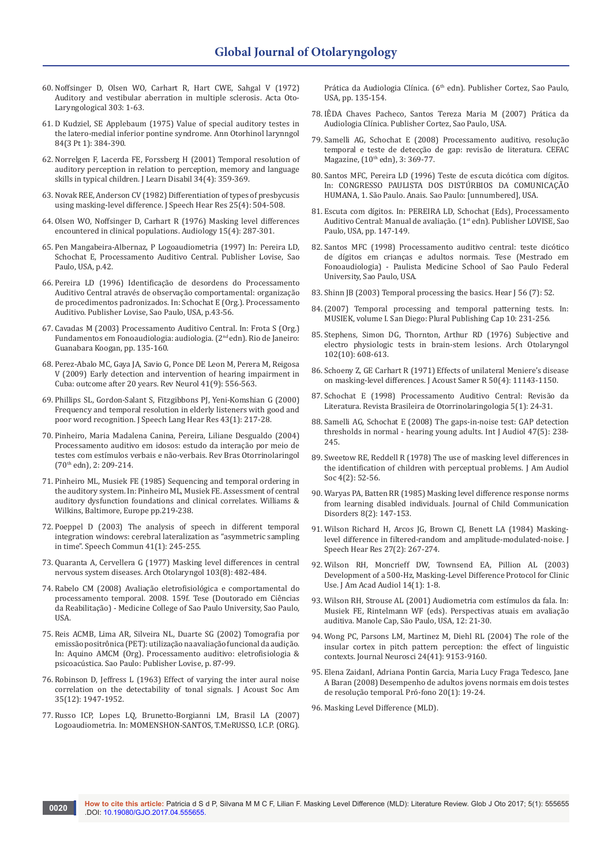- 60. [Noffsinger D, Olsen WO, Carhart R, Hart CWE, Sahgal V \(1972\)](https://www.ncbi.nlm.nih.gov/pubmed/4542210)  [Auditory and vestibular aberration in multiple sclerosis. Acta Oto-](https://www.ncbi.nlm.nih.gov/pubmed/4542210)[Laryngological 303: 1-63.](https://www.ncbi.nlm.nih.gov/pubmed/4542210)
- 61. [D Kudziel, SE Applebaum \(1975\) Value of special auditory testes in](https://www.ncbi.nlm.nih.gov/pubmed/165772)  [the latero-medial inferior pontine syndrome. Ann Otorhinol larynngol](https://www.ncbi.nlm.nih.gov/pubmed/165772)  [84\(3 Pt 1\): 384-390.](https://www.ncbi.nlm.nih.gov/pubmed/165772)
- 62. [Norrelgen F, Lacerda FE, Forssberg H \(2001\) Temporal resolution of](https://www.ncbi.nlm.nih.gov/pubmed/15503580)  [auditory perception in relation to perception, memory and language](https://www.ncbi.nlm.nih.gov/pubmed/15503580)  [skills in typical children. J Learn Disabil 34\(4\): 359-369.](https://www.ncbi.nlm.nih.gov/pubmed/15503580)
- 63. [Novak REE, Anderson CV \(1982\) Differentiation of types of presbycusis](https://www.ncbi.nlm.nih.gov/pubmed/7162150)  [using masking-level difference. J Speech Hear Res 25\(4\): 504-508.](https://www.ncbi.nlm.nih.gov/pubmed/7162150)
- 64. [Olsen WO, Noffsinger D, Carhart R \(1976\) Masking level differences](https://www.ncbi.nlm.nih.gov/pubmed/1275814)  [encountered in clinical populations. Audiology 15\(4\): 287-301.](https://www.ncbi.nlm.nih.gov/pubmed/1275814)
- 65. Pen Mangabeira-Albernaz, P Logoaudiometria (1997) In: Pereira LD, Schochat E, Processamento Auditivo Central. Publisher Lovise, Sao Paulo, USA, p.42.
- 66. Pereira LD (1996) Identificação de desordens do Processamento Auditivo Central através de observação comportamental: organização de procedimentos padronizados. In: Schochat E (Org.). Processamento Auditivo. Publisher Lovise, Sao Paulo, USA, p.43-56.
- 67. Cavadas M (2003) Processamento Auditivo Central. In: Frota S (Org.) Fundamentos em Fonoaudiologia: audiologia. (2nd edn). Rio de Janeiro: Guanabara Koogan, pp. 135-160.
- 68. [Perez-Abalo MC, Gaya JA, Savio G, Ponce DE Leon M, Perera M, Reigosa](https://www.ncbi.nlm.nih.gov/pubmed/16254863)  [V \(2009\) Early detection and intervention of hearing impairment in](https://www.ncbi.nlm.nih.gov/pubmed/16254863)  [Cuba: outcome after 20 years. Rev Neurol 41\(9\): 556-563.](https://www.ncbi.nlm.nih.gov/pubmed/16254863)
- 69. [Phillips SL, Gordon-Salant S, Fitzgibbons PJ, Yeni-Komshian G \(2000\)](https://www.ncbi.nlm.nih.gov/pubmed/10668664)  [Frequency and temporal resolution in elderly listeners with good and](https://www.ncbi.nlm.nih.gov/pubmed/10668664)  [poor word recognition. J Speech Lang Hear Res 43\(1\): 217-28.](https://www.ncbi.nlm.nih.gov/pubmed/10668664)
- 70. Pinheiro, Maria Madalena Canina, Pereira, Liliane Desgualdo (2004) Processamento auditivo em idosos: estudo da interação por meio de testes com estímulos verbais e não-verbais. Rev Bras Otorrinolaringol (70th edn), 2: 209-214.
- 71. Pinheiro ML, Musiek FE (1985) Sequencing and temporal ordering in the auditory system. In: Pinheiro ML, Musiek FE. Assessment of central auditory dysfunction foundations and clinical correlates. Williams & Wilkins, Baltimore, Europe pp.219-238.
- 72. [Poeppel D \(2003\) The analysis of speech in different temporal](http://www.sciencedirect.com/science/article/pii/S0167639302001073)  [integration windows: cerebral lateralization as "asymmetric sampling](http://www.sciencedirect.com/science/article/pii/S0167639302001073)  [in time". Speech Commun 41\(1\): 245-255.](http://www.sciencedirect.com/science/article/pii/S0167639302001073)
- 73. [Quaranta A, Cervellera G \(1977\) Masking level differences in central](https://www.ncbi.nlm.nih.gov/pubmed/880120)  [nervous system diseases. Arch Otolaryngol 103\(8\): 482-484.](https://www.ncbi.nlm.nih.gov/pubmed/880120)
- 74. Rabelo CM (2008) Avaliação eletrofisiológica e comportamental do processamento temporal. 2008. 159f. Tese (Doutorado em Ciências da Reabilitação) - Medicine College of Sao Paulo University, Sao Paulo, USA.
- 75. Reis ACMB, Lima AR, Silveira NL, Duarte SG (2002) Tomografia por emissão positrônica (PET): utilização na avaliação funcional da audição. In: Aquino AMCM (Org). Processamento auditivo: eletrofisiologia & psicoacústica. Sao Paulo: Publisher Lovise, p. 87-99.
- 76. [Robinson D, Jeffress L \(1963\) Effect of varying the inter aural noise](http://asa.scitation.org/doi/abs/10.1121/1.1918864)  [correlation on the detectability of tonal signals. J Acoust Soc Am](http://asa.scitation.org/doi/abs/10.1121/1.1918864)  [35\(12\): 1947-1952.](http://asa.scitation.org/doi/abs/10.1121/1.1918864)
- 77. Russo ICP, Lopes LQ, Brunetto-Borgianni LM, Brasil LA (2007) Logoaudiometria. In: MOMENSHON-SANTOS, T.MeRUSSO, I.C.P. (ORG).

Prática da Audiologia Clínica. (6<sup>th</sup> edn). Publisher Cortez, Sao Paulo, USA, pp. 135-154.

- 78. IÊDA Chaves Pacheco, Santos Tereza Maria M (2007) Prática da Audiologia Clínica. Publisher Cortez, Sao Paulo, USA.
- 79. Samelli AG, Schochat E (2008) Processamento auditivo, resolução temporal e teste de detecção de gap: revisão de literatura. CEFAC Magazine, (10<sup>th</sup> edn), 3: 369-77.
- 80. Santos MFC, Pereira LD (1996) Teste de escuta dicótica com dígitos. In: CONGRESSO PAULISTA DOS DISTÚRBIOS DA COMUNICAÇÃO HUMANA, 1. São Paulo. Anais. Sao Paulo: [unnumbered], USA.
- 81. Escuta com dígitos. In: PEREIRA LD, Schochat (Eds), Processamento Auditivo Central: Manual de avaliação. (1<sup>st</sup> edn). Publisher LOVISE, Sao Paulo, USA, pp. 147-149.
- 82. Santos MFC (1998) Processamento auditivo central: teste dicótico de dígitos em crianças e adultos normais. Tese (Mestrado em Fonoaudiologia) - Paulista Medicine School of Sao Paulo Federal University, Sao Paulo, USA.
- 83. [Shinn JB \(2003\) Temporal processing the basics. Hear J 56 \(7\): 52.](http://journals.lww.com/thehearingjournal/Citation/2003/07000/Temporal_processing__The_basics.10.aspx)
- 84.(2007) Temporal processing and temporal patterning tests. In: MUSIEK, volume I. San Diego: Plural Publishing Cap 10: 231-256.
- 85. [Stephens, Simon DG, Thornton, Arthur RD \(1976\) Subjective and](https://www.ncbi.nlm.nih.gov/pubmed/971133)  [electro physiologic tests in brain-stem lesions. Arch Otolaryngol](https://www.ncbi.nlm.nih.gov/pubmed/971133)  [102\(10\): 608-613.](https://www.ncbi.nlm.nih.gov/pubmed/971133)
- 86. [Schoeny Z, GE Carhart R \(1971\) Effects of unilateral Meniere's disease](https://www.ncbi.nlm.nih.gov/pubmed/5117646)  [on masking-level differences. J Acoust Samer R 50\(4\): 11143-1150.](https://www.ncbi.nlm.nih.gov/pubmed/5117646)
- 87. Schochat E (1998) Processamento Auditivo Central: Revisão da Literatura. Revista Brasileira de Otorrinolaringologia 5(1): 24-31.
- 88. [Samelli AG, Schochat E \(2008\) The gaps-in-noise test: GAP detection](https://www.ncbi.nlm.nih.gov/pubmed/18465408)  [thresholds in normal - hearing young adults. Int J Audiol 47\(5\): 238-](https://www.ncbi.nlm.nih.gov/pubmed/18465408) [245.](https://www.ncbi.nlm.nih.gov/pubmed/18465408)
- 89. [Sweetow RE, Reddell R \(1978\) The use of masking level differences in](https://www.ncbi.nlm.nih.gov/pubmed/738915)  [the identification of children with perceptual problems. J Am Audiol](https://www.ncbi.nlm.nih.gov/pubmed/738915)  [Soc 4\(2\): 52-56.](https://www.ncbi.nlm.nih.gov/pubmed/738915)
- 90. [Waryas PA, Batten RR \(1985\) Masking level difference response norms](https://eric.ed.gov/?id=EJ326728)  [from learning disabled individuals. Journal of Child Communication](https://eric.ed.gov/?id=EJ326728)  [Disorders 8\(2\): 147-153.](https://eric.ed.gov/?id=EJ326728)
- 91. [Wilson Richard H, Arcos JG, Brown CJ, Benett LA \(1984\) Masking](https://www.ncbi.nlm.nih.gov/pubmed/6738039)[level difference in filtered-random and amplitude-modulated-noise. J](https://www.ncbi.nlm.nih.gov/pubmed/6738039)  [Speech Hear Res 27\(2\): 267-274.](https://www.ncbi.nlm.nih.gov/pubmed/6738039)
- 92. [Wilson RH, Moncrieff DW, Townsend EA, Pillion AL \(2003\)](https://www.ncbi.nlm.nih.gov/pubmed/12833923)  [Development of a 500-Hz, Masking-Level Difference Protocol for Clinic](https://www.ncbi.nlm.nih.gov/pubmed/12833923)  [Use. J Am Acad Audiol 14\(1\): 1-8.](https://www.ncbi.nlm.nih.gov/pubmed/12833923)
- 93. Wilson RH, Strouse AL (2001) Audiometria com estímulos da fala. In: Musiek FE, Rintelmann WF (eds). Perspectivas atuais em avaliação auditiva. Manole Cap, São Paulo, USA, 12: 21-30.
- 94. [Wong PC, Parsons LM, Martinez M, Diehl RL \(2004\) The role of the](https://www.ncbi.nlm.nih.gov/pubmed/15483134)  [insular cortex in pitch pattern perception: the effect of linguistic](https://www.ncbi.nlm.nih.gov/pubmed/15483134)  [contexts. Journal Neurosci 24\(41\): 9153-9160.](https://www.ncbi.nlm.nih.gov/pubmed/15483134)
- 95. [Elena ZaidanI, Adriana Pontin Garcia, Maria Lucy Fraga Tedesco, Jane](http://www.scielo.br/scielo.php?script=sci_arttext&pid=S0104-56872008000100004)  [A Baran \(2008\) Desempenho de adultos jovens normais em dois testes](http://www.scielo.br/scielo.php?script=sci_arttext&pid=S0104-56872008000100004)  [de resolução temporal. Pró-fono 20\(1\): 19-24.](http://www.scielo.br/scielo.php?script=sci_arttext&pid=S0104-56872008000100004)
- 96. [Masking Level Difference \(MLD\).](http://www.auditec.com/)